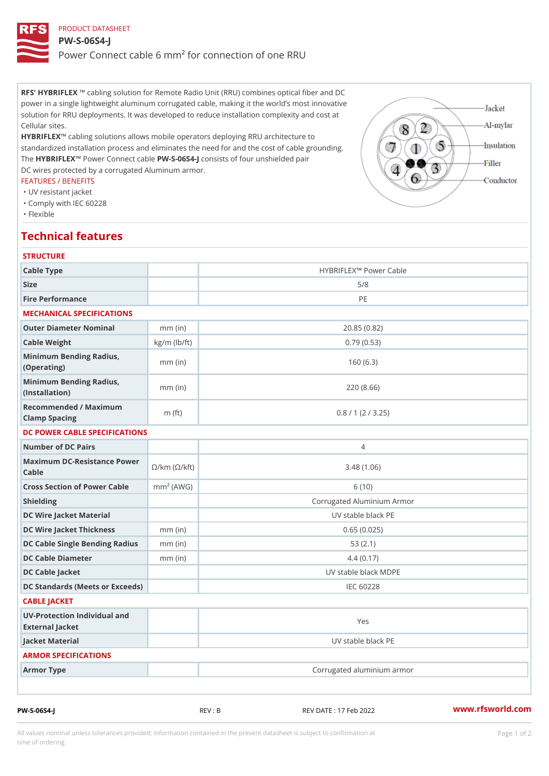PRODUCT DATASHEET PW-S-06S4-J Power Connect cable 6 mm² for connection of one RRU

RFS' HYBRIFLEX ing solution for Remote Radio Unit (RRU) combines optical fiber and DC power in a single lightweight aluminum corrugated cable, making it the world s most innovative solution for RRU deployments. It was developed to reduce installation complexity and cost at Cellular sites.

HYBRIFLEX bling solutions allows mobile operators deploying RRU architecture to standardized installation process and eliminates the need for and the cost of cable grounding. The HYBRIFLEX Wer Connect PW-ESI 406 Sconsists of four unshielded pair DC wires protected by a corrugated Aluminum armor.

## FEATURES / BENEFITS

"UV resistant jacket

"Comply with IEC 60228

"Flexible

## Technical features

| <b>STRUCTURE</b>                                  |                    |                            |  |  |
|---------------------------------------------------|--------------------|----------------------------|--|--|
| Cable Type                                        |                    | HYBRIFLEX!" Power Cable    |  |  |
| Size                                              |                    | 5/8                        |  |  |
| Fire Performance                                  |                    | PE                         |  |  |
| MECHANICAL SPECIFICATIONS                         |                    |                            |  |  |
| Outer Diameter Nominal                            | $mm$ (in)          | 20.85(0.82)                |  |  |
| Cable Weight                                      | $kg/m$ ( $lb/ft$ ) | 0.79(0.53)                 |  |  |
| Minimum Bending Radius, mm (in)<br>(Operating)    |                    | 160(6.3)                   |  |  |
| Minimum Bending Radius, mm (in)<br>(Installation) |                    | 220(8.66)                  |  |  |
| Recommended / Maximum<br>Clamp Spacing            | m $(ft)$           | 0.8 / 1 (2 / 3.25)         |  |  |
| DC POWER CABLE SPECIFICATIONS                     |                    |                            |  |  |
| Number of DC Pairs                                |                    | $\overline{4}$             |  |  |
| Maximum DC-Resistance Power (©/kft)<br>$C$ able   |                    | 3.48(1.06)                 |  |  |
| Cross Section of Power Cnamb Pe (A W G)           |                    | 6(10)                      |  |  |
| Shielding                                         |                    | Corrugated Aluminium Armor |  |  |
| DC Wire Jacket Material                           |                    | UV stable black PE         |  |  |
| DC Wire Jacket Thicknessmm (in)                   |                    | 0.65(0.025)                |  |  |
| DC Cable Single Bending Rmandi(uisn)              |                    | 53(2.1)                    |  |  |
| DC Cable Diameter                                 | $mm$ (in)          | 4.4(0.17)                  |  |  |
| DC Cable Jacket                                   |                    | UV stable black MDPE       |  |  |
| DC Standards (Meets or Exceeds)                   |                    | IEC 60228                  |  |  |
| CABLE JACKET                                      |                    |                            |  |  |
| UV-Protection Individual and<br>External Jacket   |                    | Yes                        |  |  |
| Jacket Material                                   |                    | UV stable black PE         |  |  |
| ARMOR SPECIFICATIONS                              |                    |                            |  |  |
| Armor Type                                        |                    | Corrugated aluminium armor |  |  |
|                                                   |                    |                            |  |  |

PW-S-06S4-J REV : B REV DATE : 17 Feb 2022 [www.](https://www.rfsworld.com)rfsworld.com

All values nominal unless tolerances provided; information contained in the present datasheet is subject to Pcapgeign manation time of ordering